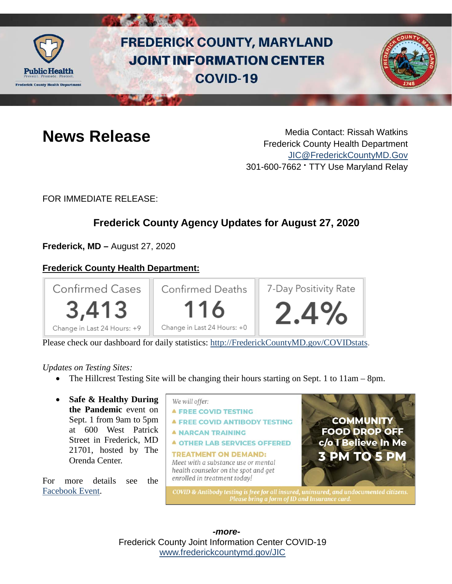

# **FREDERICK COUNTY, MARYLAND JOINT INFORMATION CENTER COVID-19**



**News Release** Media Contact: Rissah Watkins Frederick County Health Department [JIC@FrederickCountyMD.Gov](mailto:JIC@FrederickCountyMD.Gov) 301-600-7662 • TTY Use Maryland Relay

FOR IMMEDIATE RELEASE:

## **Frederick County Agency Updates for August 27, 2020**

**Frederick, MD –** August 27, 2020

### **Frederick County Health Department:**



Please check our dashboard for daily statistics: [http://FrederickCountyMD.gov/COVIDstats.](http://frederickcountymd.gov/COVIDstats)

#### *Updates on Testing Sites:*

- The Hillcrest Testing Site will be changing their hours starting on Sept. 1 to 11am 8pm.
- **Safe & Healthy During the Pandemic** event on Sept. 1 from 9am to 5pm at 600 West Patrick Street in Frederick, MD 21701, hosted by The Orenda Center.

For more details see the [Facebook Event.](https://www.facebook.com/events/328992265145924/)



Frederick County Joint Information Center COVID-19 [www.frederickcountymd.gov/JIC](https://frederickcountymd.gov/JIC) *-more-*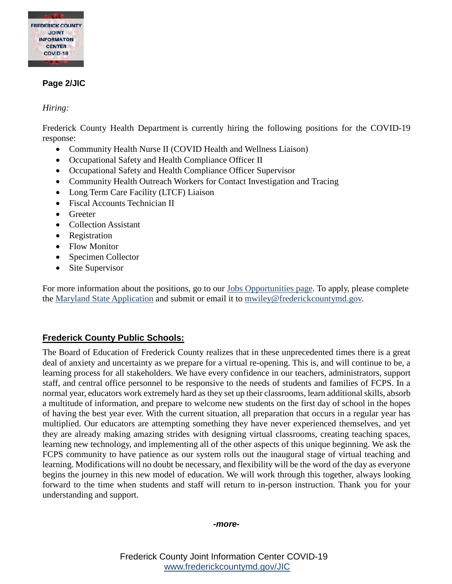

#### **Page 2/JIC**

#### *Hiring:*

Frederick County Health Department is currently hiring the following positions for the COVID-19 response:

- Community Health Nurse II (COVID Health and Wellness Liaison)
- Occupational Safety and Health Compliance Officer II
- Occupational Safety and Health Compliance Officer Supervisor
- Community Health Outreach Workers for Contact Investigation and Tracing
- Long Term Care Facility (LTCF) Liaison
- Fiscal Accounts Technician II
- Greeter
- Collection Assistant
- Registration
- Flow Monitor
- Specimen Collector
- Site Supervisor

For more information about the positions, go to our [Jobs Opportunities page.](http://md-frederickcountyhealth.civicplus.com/410/Job-Opportunities) To apply, please complete the [Maryland State Application](https://health.frederickcountymd.gov/DocumentCenter/View/6073/MarylandStateApplication) and submit or email it to [mwiley@frederickcountymd.gov.](mailto:mwiley@frederickcountymd.gov.)

#### **Frederick County Public Schools:**

The Board of Education of Frederick County realizes that in these unprecedented times there is a great deal of anxiety and uncertainty as we prepare for a virtual re-opening. This is, and will continue to be, a learning process for all stakeholders. We have every confidence in our teachers, administrators, support staff, and central office personnel to be responsive to the needs of students and families of FCPS. In a normal year, educators work extremely hard as they set up their classrooms, learn additional skills, absorb a multitude of information, and prepare to welcome new students on the first day of school in the hopes of having the best year ever. With the current situation, all preparation that occurs in a regular year has multiplied. Our educators are attempting something they have never experienced themselves, and yet they are already making amazing strides with designing virtual classrooms, creating teaching spaces, learning new technology, and implementing all of the other aspects of this unique beginning. We ask the FCPS community to have patience as our system rolls out the inaugural stage of virtual teaching and learning. Modifications will no doubt be necessary, and flexibility will be the word of the day as everyone begins the journey in this new model of education. We will work through this together, always looking forward to the time when students and staff will return to in-person instruction. Thank you for your understanding and support.

#### *-more-*

Frederick County Joint Information Center COVID-19 [www.frederickcountymd.gov/JIC](https://frederickcountymd.gov/JIC)